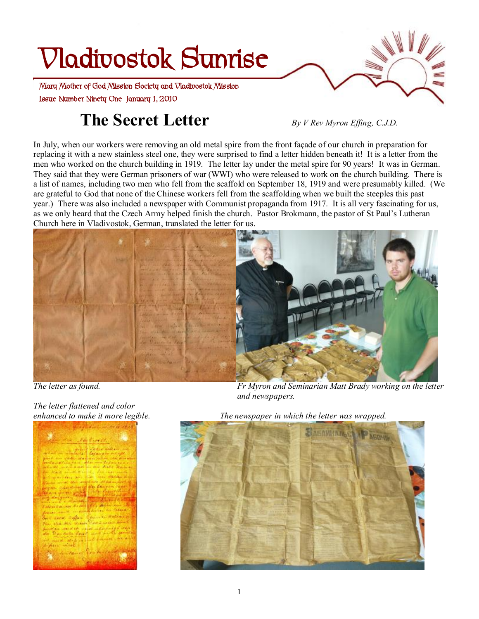# **Vladivostok Sunrise**

 **Issue Number Ninety One January 1, 2010 Mary Mother of God Mission Society and Vladivostok Mission** 

## **The Secret Letter** *By <sup>V</sup> Rev Myron Effing, C.J.D.*

In July, when our workers were removing an old metal spire from the front façade of our church in preparation for replacing it with a new stainless steel one, they were surprised to find a letter hidden beneath it! It is a letter from the men who worked on the church building in 1919. The letter lay under the metal spire for 90 years! It was in German. They said that they were German prisoners of war (WWI) who were released to work on the church building. There is a list of names, including two men who fell from the scaffold on September 18, 1919 and were presumably killed. (We are grateful to God that none of the Chinese workers fell from the scaffolding when we built the steeples this past year.) There was also included a newspaper with Communist propaganda from 1917. It is all very fascinating for us, as we only heard that the Czech Army helped finish the church. Pastor Brokmann, the pastor of St Paul's Lutheran Church here in Vladivostok, German, translated the letter for us.



*The letter flattened and color* 



*The letter as found. Fr Myron and Seminarian Matt Brady working on the letter and newspapers.* 

*enhanced to make it more legible. The newspaper in which the letter was wrapped.* 

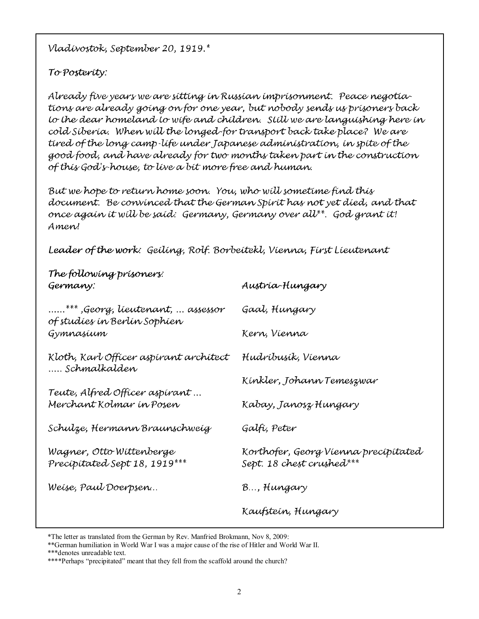Vladívostok, September 20, 1919.\*

### To Posterity:

Already five years we are sitting in Russian imprisonment. Peace negotiations are already going on for one year, but nobody sends us prisoners back to the dear homeland to wife and children. Still we are languishing here in cold Siberia. When will the longed for transport back take place? We are tired of the long camp-life under Japanese administration, in spite of the good food, and have already for two monthy taken part in the construction of this God's house, to live a bit more free and human.

But we hope to return home soon. You, who will sometime find this document. Be convinced that the German Spirit has not yet died, and that once again it will be said: Germany, Germany over all\*\*. God grant it! Amen!

Leader of the work: Geiling, Rolf. Borbeitekl, Vienna, First Lieutenant

| The following prisoners:<br>Germany:                                  | Austría-Hungary                                                   |
|-----------------------------------------------------------------------|-------------------------------------------------------------------|
| "….*** ,Georg, líeutenant, … assessor<br>of studíes ín Berlín Sophíen | Gaal, Hungary                                                     |
| Gymnasium                                                             | Kern, Vienna                                                      |
| Kloth, Karl Officer aspirant architect<br>Schmalkalden                | Hudríbusík, Víenna                                                |
|                                                                       | Kínkler, Johann Temeszwar                                         |
| Teute, Alfred Officer aspirant …<br>Merchant Kolmar ín Posen          | Kabay, Janosz Hungary                                             |
| Schulze, Hermann Braunschweig                                         | Galfí, Peter                                                      |
| Wagner, Otto Wittenberge<br>Precipitated Sept 18, 1919***             | Korthofer, Georg Víenna precípítated<br>Sept. 18 chest crushed*** |
| Weise, Paul Doerpsen                                                  | B, Hungary                                                        |
|                                                                       | Kaufstein, Hungary                                                |

<sup>\*</sup>The letter as translated from the German by Rev. Manfried Brokmann, Nov 8, 2009:

<sup>\*\*</sup>German humiliation in World War I was a major cause of the rise of Hitler and World War II.

<sup>\*\*\*</sup>denotes unreadable text.

<sup>\*\*\*\*</sup>Perhaps "precipitated" meant that they fell from the scaffold around the church?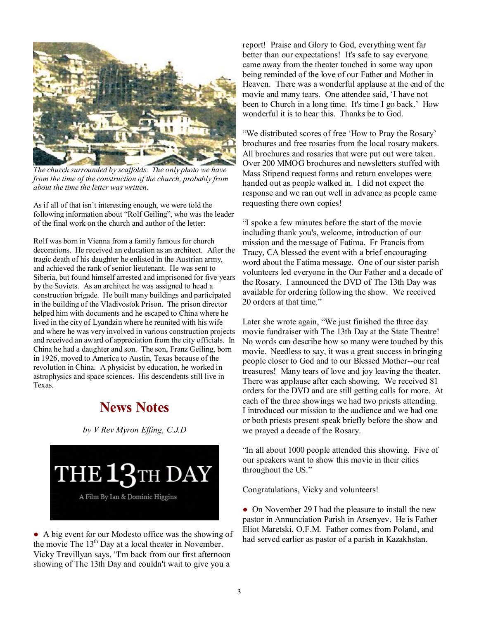

*The church surrounded by scaffolds. The only photo we have from the time of the construction of the church, probably from about the time the letter was written.* 

As if all of that isn't interesting enough, we were told the following information about "Rolf Geiling", who was the leader of the final work on the church and author of the letter:

Rolf was born in Vienna from a family famous for church decorations. He received an education as an architect. After the tragic death of his daughter he enlisted in the Austrian army, and achieved the rank of senior lieutenant. He was sent to Siberia, but found himself arrested and imprisoned for five years by the Soviets. As an architect he was assigned to head a construction brigade. He built many buildings and participated in the building of the Vladivostok Prison. The prison director helped him with documents and he escaped to China where he lived in the city of Lyandzin where he reunited with his wife and where he was very involved in various construction projects and received an award of appreciation from the city officials. In China he had a daughter and son. The son, Franz Geiling, born in 1926, moved to America to Austin, Texas because of the revolution in China. A physicist by education, he worked in astrophysics and space sciences. His descendents still live in Texas.

## **News Notes**

*by V Rev Myron Effing, C.J.D* 

THE 13TH DAY A Film By Ian & Dominic Higgins

● A big event for our Modesto office was the showing of the movie The 13<sup>th</sup> Day at a local theater in November. Vicky Trevillyan says, "I'm back from our first afternoon showing of The 13th Day and couldn't wait to give you a

report! Praise and Glory to God, everything went far better than our expectations! It's safe to say everyone came away from the theater touched in some way upon being reminded of the love of our Father and Mother in Heaven. There was a wonderful applause at the end of the movie and many tears. One attendee said, 'I have not been to Church in a long time. It's time I go back.' How wonderful it is to hear this. Thanks be to God.

"We distributed scores of free 'How to Pray the Rosary' brochures and free rosaries from the local rosary makers. All brochures and rosaries that were put out were taken. Over 200 MMOG brochures and newsletters stuffed with Mass Stipend request forms and return envelopes were handed out as people walked in. I did not expect the response and we ran out well in advance as people came requesting there own copies!

"I spoke a few minutes before the start of the movie including thank you's, welcome, introduction of our mission and the message of Fatima. Fr Francis from Tracy, CA blessed the event with a brief encouraging word about the Fatima message. One of our sister parish volunteers led everyone in the Our Father and a decade of the Rosary. I announced the DVD of The 13th Day was available for ordering following the show. We received 20 orders at that time."

Later she wrote again, "We just finished the three day movie fundraiser with The 13th Day at the State Theatre! No words can describe how so many were touched by this movie. Needless to say, it was a great success in bringing people closer to God and to our Blessed Mother--our real treasures! Many tears of love and joy leaving the theater. There was applause after each showing. We received 81 orders for the DVD and are still getting calls for more. At each of the three showings we had two priests attending. I introduced our mission to the audience and we had one or both priests present speak briefly before the show and we prayed a decade of the Rosary.

"In all about 1000 people attended this showing. Five of our speakers want to show this movie in their cities throughout the US."

Congratulations, Vicky and volunteers!

• On November 29 I had the pleasure to install the new pastor in Annunciation Parish in Arsenyev. He is Father Eliot Maretski, O.F.M. Father comes from Poland, and had served earlier as pastor of a parish in Kazakhstan.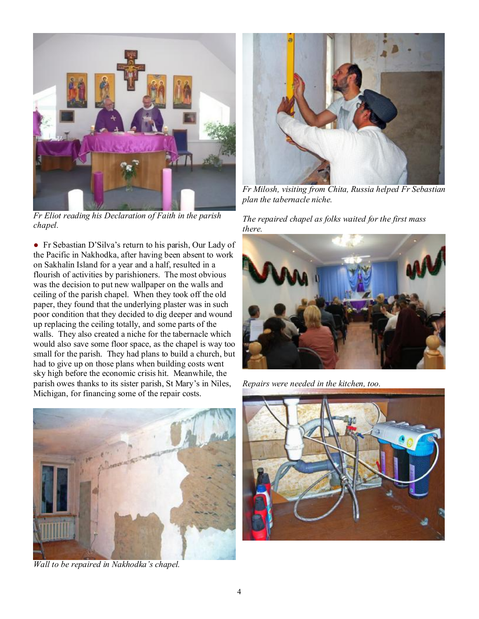

*Fr Eliot reading his Declaration of Faith in the parish chapel.* 

● Fr Sebastian D'Silva's return to his parish, Our Lady of the Pacific in Nakhodka, after having been absent to work on Sakhalin Island for a year and a half, resulted in a flourish of activities by parishioners. The most obvious was the decision to put new wallpaper on the walls and ceiling of the parish chapel. When they took off the old paper, they found that the underlying plaster was in such poor condition that they decided to dig deeper and wound up replacing the ceiling totally, and some parts of the walls. They also created a niche for the tabernacle which would also save some floor space, as the chapel is way too small for the parish. They had plans to build a church, but had to give up on those plans when building costs went sky high before the economic crisis hit. Meanwhile, the parish owes thanks to its sister parish, St Mary's in Niles, Michigan, for financing some of the repair costs.



*Wall to be repaired in Nakhodka's chapel.* 



*Fr Milosh, visiting from Chita, Russia helped Fr Sebastian plan the tabernacle niche.* 

#### *The repaired chapel as folks waited for the first mass there.*



*Repairs were needed in the kitchen, too.* 

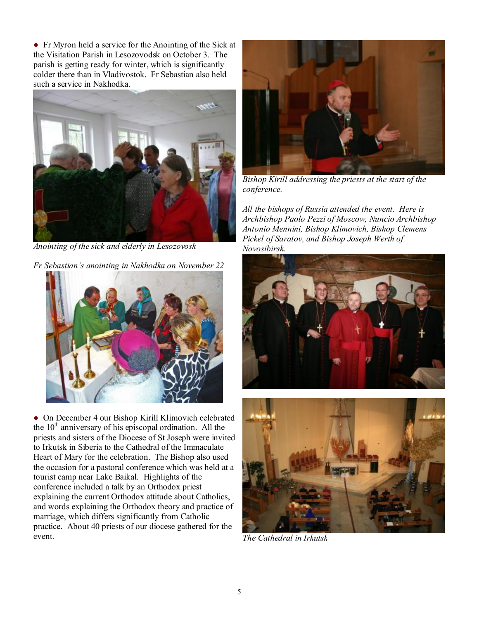● Fr Myron held a service for the Anointing of the Sick at the Visitation Parish in Lesozovodsk on October 3. The parish is getting ready for winter, which is significantly colder there than in Vladivostok. Fr Sebastian also held such a service in Nakhodka.



*Anointing of the sick and elderly in Lesozovosk* 

*Fr Sebastian's anointing in Nakhodka on November 22* 



● On December 4 our Bishop Kirill Klimovich celebrated the  $10<sup>th</sup>$  anniversary of his episcopal ordination. All the priests and sisters of the Diocese of St Joseph were invited to Irkutsk in Siberia to the Cathedral of the Immaculate Heart of Mary for the celebration. The Bishop also used the occasion for a pastoral conference which was held at a tourist camp near Lake Baikal. Highlights of the conference included a talk by an Orthodox priest explaining the current Orthodox attitude about Catholics, and words explaining the Orthodox theory and practice of marriage, which differs significantly from Catholic practice. About 40 priests of our diocese gathered for the event.



*Bishop Kirill addressing the priests at the start of the conference.* 

*All the bishops of Russia attended the event. Here is Archbishop Paolo Pezzi of Moscow, Nuncio Archbishop Antonio Mennini, Bishop Klimovich, Bishop Clemens Pickel of Saratov, and Bishop Joseph Werth of Novosibirsk.* 





*The Cathedral in Irkutsk*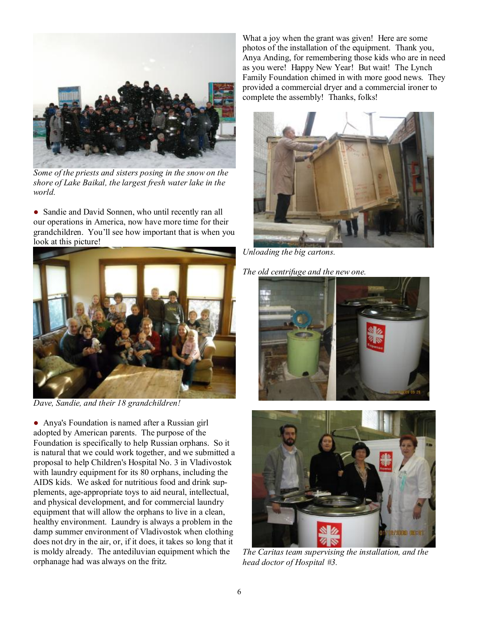

*Some of the priests and sisters posing in the snow on the shore of Lake Baikal, the largest fresh water lake in the world.* 

• Sandie and David Sonnen, who until recently ran all our operations in America, now have more time for their grandchildren. You'll see how important that is when you look at this picture!



*Dave, Sandie, and their 18 grandchildren!* 

• Anya's Foundation is named after a Russian girl adopted by American parents. The purpose of the Foundation is specifically to help Russian orphans. So it is natural that we could work together, and we submitted a proposal to help Children's Hospital No. 3 in Vladivostok with laundry equipment for its 80 orphans, including the AIDS kids. We asked for nutritious food and drink supplements, age-appropriate toys to aid neural, intellectual, and physical development, and for commercial laundry equipment that will allow the orphans to live in a clean, healthy environment. Laundry is always a problem in the damp summer environment of Vladivostok when clothing does not dry in the air, or, if it does, it takes so long that it is moldy already. The antediluvian equipment which the orphanage had was always on the fritz.

What a joy when the grant was given! Here are some photos of the installation of the equipment. Thank you, Anya Anding, for remembering those kids who are in need as you were! Happy New Year! But wait! The Lynch Family Foundation chimed in with more good news. They provided a commercial dryer and a commercial ironer to complete the assembly! Thanks, folks!



*Unloading the big cartons.* 

*The old centrifuge and the new one.* 





*The Caritas team supervising the installation, and the head doctor of Hospital #3.*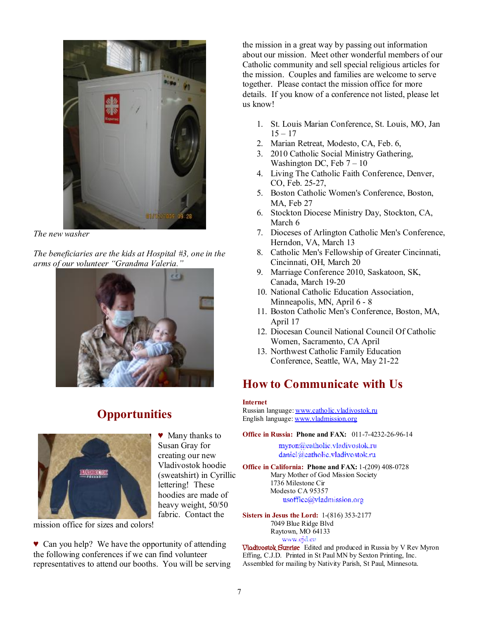

*The new washer* 

*The beneficiaries are the kids at Hospital #3, one in the arms of our volunteer "Grandma Valeria."* 



## **Opportunities**



♥ Many thanks to Susan Gray for creating our new Vladivostok hoodie (sweatshirt) in Cyrillic lettering! These hoodies are made of heavy weight, 50/50 fabric. Contact the

mission office for sizes and colors!

♥ Can you help? We have the opportunity of attending the following conferences if we can find volunteer representatives to attend our booths. You will be serving the mission in a great way by passing out information about our mission. Meet other wonderful members of our Catholic community and sell special religious articles for the mission. Couples and families are welcome to serve together. Please contact the mission office for more details. If you know of a conference not listed, please let us know!

- 1. St. Louis Marian Conference, St. Louis, MO, Jan  $15 - 17$
- 2. Marian Retreat, Modesto, CA, Feb. 6,
- 3. 2010 Catholic Social Ministry Gathering, Washington DC, Feb  $7 - 10$
- 4. Living The Catholic Faith Conference, Denver, CO, Feb. 25-27,
- 5. Boston Catholic Women's Conference, Boston, MA, Feb 27
- 6. Stockton Diocese Ministry Day, Stockton, CA, March 6
- 7. Dioceses of Arlington Catholic Men's Conference, Herndon, VA, March 13
- 8. Catholic Men's Fellowship of Greater Cincinnati, Cincinnati, OH, March 20
- 9. Marriage Conference 2010, Saskatoon, SK, Canada, March 19-20
- 10. National Catholic Education Association, Minneapolis, MN, April 6 - 8
- 11. Boston Catholic Men's Conference, Boston, MA, April 17
- 12. Diocesan Council National Council Of Catholic Women, Sacramento, CA April
- 13. Northwest Catholic Family Education Conference, Seattle, WA, May 21-22

## **How to Communicate with Us**

#### **Internet**

Russian language: [www.catholic.vladivostok.ru](http://www.catholic.vladivostok.ru) English language: [www.vladmission.org](http://www.vladmission.org)

**Office in Russia: Phone and FAX:** 011-7-4232-26-96-14

myron@catholic.vladivostok.ru daniel@catholic.vladivostok.ru

**Office in California: Phone and FAX:** 1-(209) 408-0728 Mary Mother of God Mission Society 1736 Milestone Cir Modesto CA 95357 usoffice@vladmission.org

**Sisters in Jesus the Lord:** 1-(816) 353-2177 7049 Blue Ridge Blvd Raytown, MO 64133

*Www.gra.en*<br> **Vladivostok Sunrise** Edited and produced in Russia by V Rev Myron Effing, C.J.D. Printed in St Paul MN by Sexton Printing, Inc. Assembled for mailing by Nativity Parish, St Paul, Minnesota.